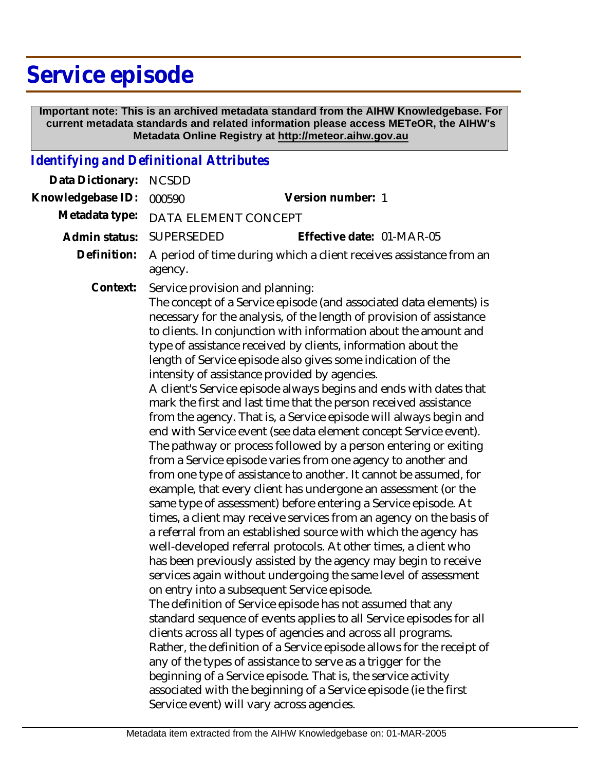# **Service episode**

 **Important note: This is an archived metadata standard from the AIHW Knowledgebase. For current metadata standards and related information please access METeOR, the AIHW's Metadata Online Registry at http://meteor.aihw.gov.au**

#### *Identifying and Definitional Attributes*

| Data Dictionary:  | <b>NCSDD</b>                                                                                                                                                                                                                                                                                                                                                                                                                                                                                                                                                                                                                                                                                                                                                                                                                                                                                                                                                                                                                                                                                                                                                                                                                                                                                                                                                                                                                                                                                                                                                                                                                                                                                                                                                                                                                                                                                                                                                                                       |                           |
|-------------------|----------------------------------------------------------------------------------------------------------------------------------------------------------------------------------------------------------------------------------------------------------------------------------------------------------------------------------------------------------------------------------------------------------------------------------------------------------------------------------------------------------------------------------------------------------------------------------------------------------------------------------------------------------------------------------------------------------------------------------------------------------------------------------------------------------------------------------------------------------------------------------------------------------------------------------------------------------------------------------------------------------------------------------------------------------------------------------------------------------------------------------------------------------------------------------------------------------------------------------------------------------------------------------------------------------------------------------------------------------------------------------------------------------------------------------------------------------------------------------------------------------------------------------------------------------------------------------------------------------------------------------------------------------------------------------------------------------------------------------------------------------------------------------------------------------------------------------------------------------------------------------------------------------------------------------------------------------------------------------------------------|---------------------------|
| Knowledgebase ID: | 000590                                                                                                                                                                                                                                                                                                                                                                                                                                                                                                                                                                                                                                                                                                                                                                                                                                                                                                                                                                                                                                                                                                                                                                                                                                                                                                                                                                                                                                                                                                                                                                                                                                                                                                                                                                                                                                                                                                                                                                                             | Version number: 1         |
| Metadata type:    | DATA ELEMENT CONCEPT                                                                                                                                                                                                                                                                                                                                                                                                                                                                                                                                                                                                                                                                                                                                                                                                                                                                                                                                                                                                                                                                                                                                                                                                                                                                                                                                                                                                                                                                                                                                                                                                                                                                                                                                                                                                                                                                                                                                                                               |                           |
| Admin status:     | <b>SUPERSEDED</b>                                                                                                                                                                                                                                                                                                                                                                                                                                                                                                                                                                                                                                                                                                                                                                                                                                                                                                                                                                                                                                                                                                                                                                                                                                                                                                                                                                                                                                                                                                                                                                                                                                                                                                                                                                                                                                                                                                                                                                                  | Effective date: 01-MAR-05 |
| Definition:       | A period of time during which a client receives assistance from an<br>agency.                                                                                                                                                                                                                                                                                                                                                                                                                                                                                                                                                                                                                                                                                                                                                                                                                                                                                                                                                                                                                                                                                                                                                                                                                                                                                                                                                                                                                                                                                                                                                                                                                                                                                                                                                                                                                                                                                                                      |                           |
| Context:          | Service provision and planning:<br>The concept of a Service episode (and associated data elements) is<br>necessary for the analysis, of the length of provision of assistance<br>to clients. In conjunction with information about the amount and<br>type of assistance received by clients, information about the<br>length of Service episode also gives some indication of the<br>intensity of assistance provided by agencies.<br>A client's Service episode always begins and ends with dates that<br>mark the first and last time that the person received assistance<br>from the agency. That is, a Service episode will always begin and<br>end with Service event (see data element concept Service event).<br>The pathway or process followed by a person entering or exiting<br>from a Service episode varies from one agency to another and<br>from one type of assistance to another. It cannot be assumed, for<br>example, that every client has undergone an assessment (or the<br>same type of assessment) before entering a Service episode. At<br>times, a client may receive services from an agency on the basis of<br>a referral from an established source with which the agency has<br>well-developed referral protocols. At other times, a client who<br>has been previously assisted by the agency may begin to receive<br>services again without undergoing the same level of assessment<br>on entry into a subsequent Service episode.<br>The definition of Service episode has not assumed that any<br>standard sequence of events applies to all Service episodes for all<br>clients across all types of agencies and across all programs.<br>Rather, the definition of a Service episode allows for the receipt of<br>any of the types of assistance to serve as a trigger for the<br>beginning of a Service episode. That is, the service activity<br>associated with the beginning of a Service episode (ie the first<br>Service event) will vary across agencies. |                           |